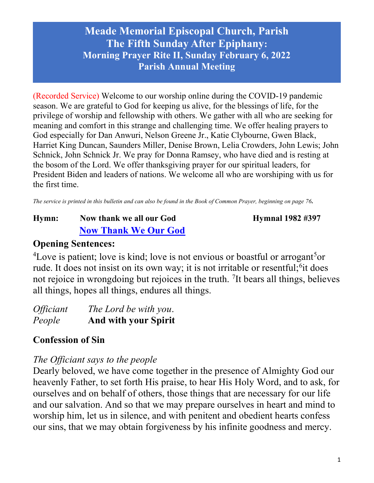(Recorded Service) Welcome to our worship online during the COVID-19 pandemic season. We are grateful to God for keeping us alive, for the blessings of life, for the privilege of worship and fellowship with others. We gather with all who are seeking for meaning and comfort in this strange and challenging time. We offer healing prayers to God especially for Dan Anwuri, Nelson Greene Jr., Katie Clybourne, Gwen Black, Harriet King Duncan, Saunders Miller, Denise Brown, Lelia Crowders, John Lewis; John Schnick, John Schnick Jr. We pray for Donna Ramsey, who have died and is resting at the bosom of the Lord. We offer thanksgiving prayer for our spiritual leaders, for President Biden and leaders of nations. We welcome all who are worshiping with us for the first time.

The service is printed in this bulletin and can also be found in the Book of Common Prayer, beginning on page 76.

# Hymn: Now thank we all our God Hymnal 1982 #397 Now Thank We Our God

### Opening Sentences:

<sup>4</sup>Love is patient; love is kind; love is not envious or boastful or arrogant<sup>5</sup>or rude. It does not insist on its own way; it is not irritable or resentful;<sup>6</sup>it does not rejoice in wrongdoing but rejoices in the truth. <sup>7</sup>It bears all things, believes all things, hopes all things, endures all things.

| <i><b>Officiant</b></i> | The Lord be with you.       |
|-------------------------|-----------------------------|
| People                  | <b>And with your Spirit</b> |

## Confession of Sin

## The Officiant says to the people

Dearly beloved, we have come together in the presence of Almighty God our heavenly Father, to set forth His praise, to hear His Holy Word, and to ask, for ourselves and on behalf of others, those things that are necessary for our life and our salvation. And so that we may prepare ourselves in heart and mind to worship him, let us in silence, and with penitent and obedient hearts confess our sins, that we may obtain forgiveness by his infinite goodness and mercy.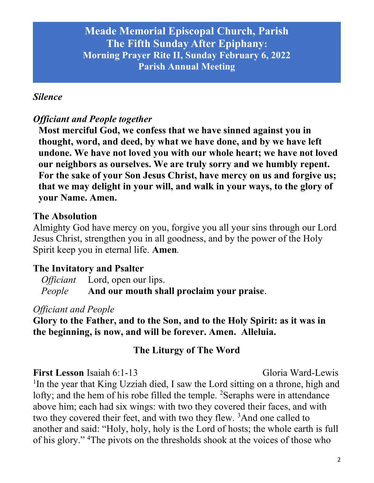#### Silence

### Officiant and People together

Most merciful God, we confess that we have sinned against you in thought, word, and deed, by what we have done, and by we have left undone. We have not loved you with our whole heart; we have not loved our neighbors as ourselves. We are truly sorry and we humbly repent. For the sake of your Son Jesus Christ, have mercy on us and forgive us; that we may delight in your will, and walk in your ways, to the glory of your Name. Amen.

#### The Absolution

Almighty God have mercy on you, forgive you all your sins through our Lord Jesus Christ, strengthen you in all goodness, and by the power of the Holy Spirit keep you in eternal life. Amen.

#### The Invitatory and Psalter

| <i>Officiant</i> Lord, open our lips.                   |
|---------------------------------------------------------|
| <i>People</i> And our mouth shall proclaim your praise. |

#### Officiant and People

Glory to the Father, and to the Son, and to the Holy Spirit: as it was in the beginning, is now, and will be forever. Amen. Alleluia.

### The Liturgy of The Word

First Lesson Isaiah 6:1-13 Gloria Ward-Lewis <sup>1</sup>In the year that King Uzziah died, I saw the Lord sitting on a throne, high and lofty; and the hem of his robe filled the temple. <sup>2</sup>Seraphs were in attendance above him; each had six wings: with two they covered their faces, and with two they covered their feet, and with two they flew. <sup>3</sup>And one called to another and said: "Holy, holy, holy is the Lord of hosts; the whole earth is full of his glory." 4The pivots on the thresholds shook at the voices of those who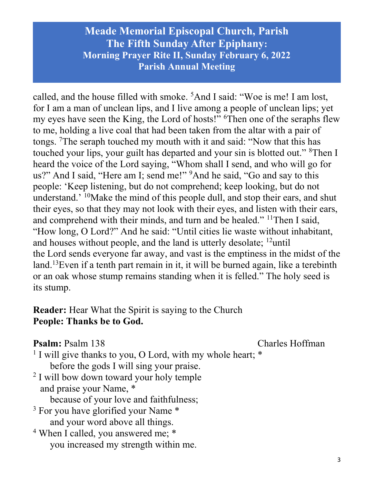called, and the house filled with smoke. <sup>5</sup>And I said: "Woe is me! I am lost, for I am a man of unclean lips, and I live among a people of unclean lips; yet my eyes have seen the King, the Lord of hosts!" <sup>6</sup>Then one of the seraphs flew to me, holding a live coal that had been taken from the altar with a pair of tongs. <sup>7</sup>The seraph touched my mouth with it and said: "Now that this has touched your lips, your guilt has departed and your sin is blotted out." <sup>8</sup>Then I heard the voice of the Lord saying, "Whom shall I send, and who will go for us?" And I said, "Here am I; send me!" <sup>9</sup>And he said, "Go and say to this people: 'Keep listening, but do not comprehend; keep looking, but do not understand.' <sup>10</sup>Make the mind of this people dull, and stop their ears, and shut their eyes, so that they may not look with their eyes, and listen with their ears, and comprehend with their minds, and turn and be healed." <sup>11</sup>Then I said, "How long, O Lord?" And he said: "Until cities lie waste without inhabitant, and houses without people, and the land is utterly desolate;  $^{12}$ until the Lord sends everyone far away, and vast is the emptiness in the midst of the land.<sup>13</sup>Even if a tenth part remain in it, it will be burned again, like a terebinth or an oak whose stump remains standing when it is felled." The holy seed is its stump.

## Reader: Hear What the Spirit is saying to the Church People: Thanks be to God.

#### **Psalm:** Psalm 138 Charles Hoffman

- <sup>1</sup> I will give thanks to you, O Lord, with my whole heart; \* before the gods I will sing your praise.
- <sup>2</sup> I will bow down toward your holy temple and praise your Name, \*

because of your love and faithfulness;

- <sup>3</sup> For you have glorified your Name \* and your word above all things.
- <sup>4</sup> When I called, you answered me; \* you increased my strength within me.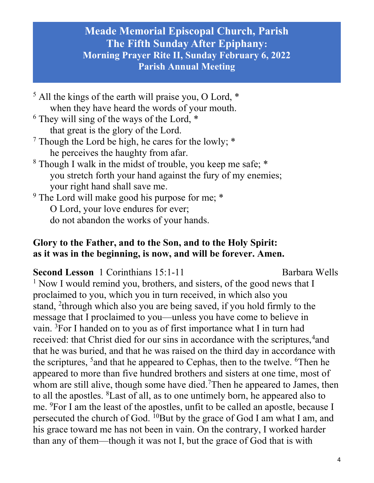<sup>5</sup> All the kings of the earth will praise you, O Lord, \* when they have heard the words of your mouth. <sup>6</sup> They will sing of the ways of the Lord,  $*$  that great is the glory of the Lord. <sup>7</sup> Though the Lord be high, he cares for the lowly;  $*$  he perceives the haughty from afar. <sup>8</sup> Though I walk in the midst of trouble, you keep me safe; \* you stretch forth your hand against the fury of my enemies; your right hand shall save me. <sup>9</sup> The Lord will make good his purpose for me; \*

O Lord, your love endures for ever;

do not abandon the works of your hands.

### Glory to the Father, and to the Son, and to the Holy Spirit: as it was in the beginning, is now, and will be forever. Amen.

#### Second Lesson 1 Corinthians 15:1-11 Barbara Wells

<sup>1</sup> Now I would remind you, brothers, and sisters, of the good news that I proclaimed to you, which you in turn received, in which also you stand, <sup>2</sup>through which also you are being saved, if you hold firmly to the message that I proclaimed to you—unless you have come to believe in vain. <sup>3</sup>For I handed on to you as of first importance what I in turn had received: that Christ died for our sins in accordance with the scriptures, <sup>4</sup>and that he was buried, and that he was raised on the third day in accordance with the scriptures,  $5$  and that he appeared to Cephas, then to the twelve.  $6$ Then he appeared to more than five hundred brothers and sisters at one time, most of whom are still alive, though some have died.<sup>7</sup>Then he appeared to James, then to all the apostles. <sup>8</sup>Last of all, as to one untimely born, he appeared also to me. <sup>9</sup>For I am the least of the apostles, unfit to be called an apostle, because I persecuted the church of God. <sup>10</sup>But by the grace of God I am what I am, and his grace toward me has not been in vain. On the contrary, I worked harder than any of them—though it was not I, but the grace of God that is with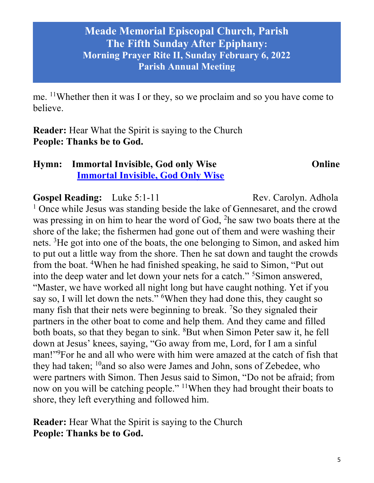me. <sup>11</sup>Whether then it was I or they, so we proclaim and so you have come to believe.

Reader: Hear What the Spirit is saying to the Church People: Thanks be to God.

# Hymn: Immortal Invisible, God only Wise Online Immortal Invisible, God Only Wise

Gospel Reading: Luke 5:1-11 Rev. Carolyn. Adhola

<sup>1</sup> Once while Jesus was standing beside the lake of Gennesaret, and the crowd was pressing in on him to hear the word of God, <sup>2</sup>he saw two boats there at the shore of the lake; the fishermen had gone out of them and were washing their nets. <sup>3</sup>He got into one of the boats, the one belonging to Simon, and asked him to put out a little way from the shore. Then he sat down and taught the crowds from the boat. <sup>4</sup>When he had finished speaking, he said to Simon, "Put out into the deep water and let down your nets for a catch."<sup>5</sup>Simon answered, "Master, we have worked all night long but have caught nothing. Yet if you say so, I will let down the nets." <sup>6</sup>When they had done this, they caught so many fish that their nets were beginning to break. <sup>7</sup>So they signaled their partners in the other boat to come and help them. And they came and filled both boats, so that they began to sink. <sup>8</sup>But when Simon Peter saw it, he fell down at Jesus' knees, saying, "Go away from me, Lord, for I am a sinful man!"<sup>9</sup>For he and all who were with him were amazed at the catch of fish that they had taken;  $^{10}$  and so also were James and John, sons of Zebedee, who were partners with Simon. Then Jesus said to Simon, "Do not be afraid; from now on you will be catching people." <sup>11</sup>When they had brought their boats to shore, they left everything and followed him.

Reader: Hear What the Spirit is saying to the Church People: Thanks be to God.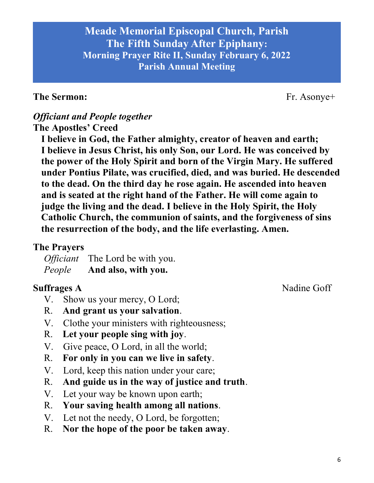#### The Sermon: Fr. Asonye+

#### Officiant and People together The Apostles' Creed

I believe in God, the Father almighty, creator of heaven and earth; I believe in Jesus Christ, his only Son, our Lord. He was conceived by the power of the Holy Spirit and born of the Virgin Mary. He suffered under Pontius Pilate, was crucified, died, and was buried. He descended to the dead. On the third day he rose again. He ascended into heaven and is seated at the right hand of the Father. He will come again to judge the living and the dead. I believe in the Holy Spirit, the Holy Catholic Church, the communion of saints, and the forgiveness of sins the resurrection of the body, and the life everlasting. Amen.

#### The Prayers

Officiant The Lord be with you. People And also, with you.

Suffrages A Nadine Goff

- V. Show us your mercy, O Lord;
- R. And grant us your salvation.
- V. Clothe your ministers with righteousness;
- R. Let your people sing with joy.
- V. Give peace, O Lord, in all the world;
- R. For only in you can we live in safety.
- V. Lord, keep this nation under your care;
- R. And guide us in the way of justice and truth.
- V. Let your way be known upon earth;
- R. Your saving health among all nations.
- V. Let not the needy, O Lord, be forgotten;
- R. Nor the hope of the poor be taken away.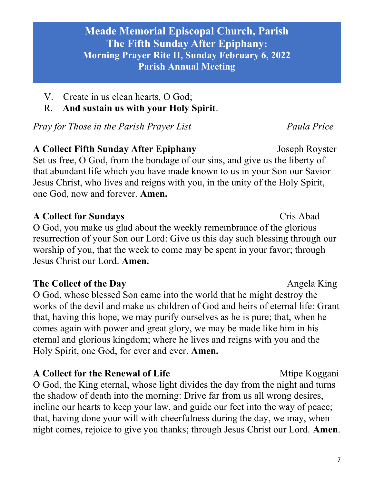- V. Create in us clean hearts, O God;
- R. And sustain us with your Holy Spirit.

Pray for Those in the Parish Prayer List France Paula Price

A Collect Fifth Sunday After Epiphany Joseph Royster Set us free, O God, from the bondage of our sins, and give us the liberty of that abundant life which you have made known to us in your Son our Savior Jesus Christ, who lives and reigns with you, in the unity of the Holy Spirit, one God, now and forever. Amen.

## A Collect for Sundays Cris Abad

O God, you make us glad about the weekly remembrance of the glorious resurrection of your Son our Lord: Give us this day such blessing through our worship of you, that the week to come may be spent in your favor; through Jesus Christ our Lord. Amen.

# The Collect of the Day Angela King

O God, whose blessed Son came into the world that he might destroy the works of the devil and make us children of God and heirs of eternal life: Grant that, having this hope, we may purify ourselves as he is pure; that, when he comes again with power and great glory, we may be made like him in his eternal and glorious kingdom; where he lives and reigns with you and the Holy Spirit, one God, for ever and ever. Amen.

A Collect for the Renewal of Life Merric Music Media Media Negani

O God, the King eternal, whose light divides the day from the night and turns the shadow of death into the morning: Drive far from us all wrong desires, incline our hearts to keep your law, and guide our feet into the way of peace; that, having done your will with cheerfulness during the day, we may, when night comes, rejoice to give you thanks; through Jesus Christ our Lord. Amen.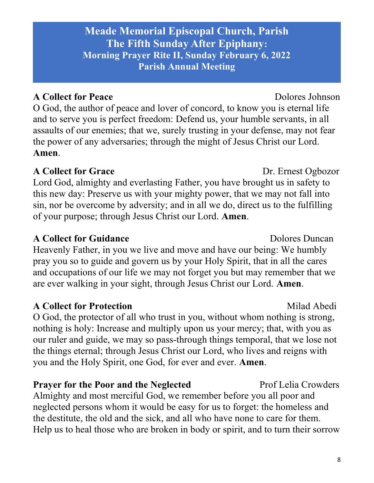# A Collect for Peace Dolores Johnson

O God, the author of peace and lover of concord, to know you is eternal life and to serve you is perfect freedom: Defend us, your humble servants, in all assaults of our enemies; that we, surely trusting in your defense, may not fear the power of any adversaries; through the might of Jesus Christ our Lord. Amen.

# A Collect for Grace Dr. Ernest Ogbozor

Lord God, almighty and everlasting Father, you have brought us in safety to this new day: Preserve us with your mighty power, that we may not fall into sin, nor be overcome by adversity; and in all we do, direct us to the fulfilling of your purpose; through Jesus Christ our Lord. Amen.

# A Collect for Guidance **Dolores** Dolores Duncan

Heavenly Father, in you we live and move and have our being: We humbly pray you so to guide and govern us by your Holy Spirit, that in all the cares and occupations of our life we may not forget you but may remember that we are ever walking in your sight, through Jesus Christ our Lord. Amen.

# A Collect for Protection Milad Abedi

O God, the protector of all who trust in you, without whom nothing is strong, nothing is holy: Increase and multiply upon us your mercy; that, with you as our ruler and guide, we may so pass-through things temporal, that we lose not the things eternal; through Jesus Christ our Lord, who lives and reigns with you and the Holy Spirit, one God, for ever and ever. Amen.

# **Prayer for the Poor and the Neglected Prof Lelia Crowders**

Almighty and most merciful God, we remember before you all poor and neglected persons whom it would be easy for us to forget: the homeless and the destitute, the old and the sick, and all who have none to care for them. Help us to heal those who are broken in body or spirit, and to turn their sorrow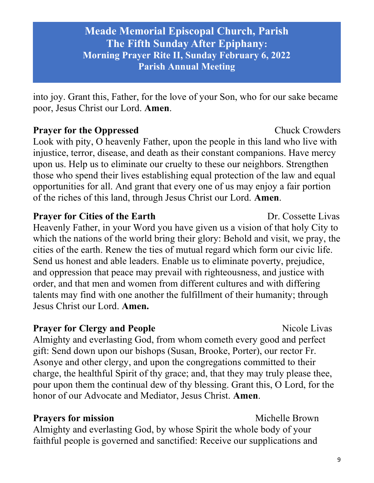into joy. Grant this, Father, for the love of your Son, who for our sake became poor, Jesus Christ our Lord. Amen.

## **Prayer for the Oppressed Chuck Crowders** Look with pity, O heavenly Father, upon the people in this land who live with injustice, terror, disease, and death as their constant companions. Have mercy upon us. Help us to eliminate our cruelty to these our neighbors. Strengthen those who spend their lives establishing equal protection of the law and equal opportunities for all. And grant that every one of us may enjoy a fair portion of the riches of this land, through Jesus Christ our Lord. Amen.

#### **Prayer for Cities of the Earth Dr. Cossette Livas**

Heavenly Father, in your Word you have given us a vision of that holy City to which the nations of the world bring their glory: Behold and visit, we pray, the cities of the earth. Renew the ties of mutual regard which form our civic life. Send us honest and able leaders. Enable us to eliminate poverty, prejudice, and oppression that peace may prevail with righteousness, and justice with order, and that men and women from different cultures and with differing talents may find with one another the fulfillment of their humanity; through Jesus Christ our Lord. Amen.

## **Prayer for Clergy and People Server Algebra 2018** Nicole Livas

Almighty and everlasting God, from whom cometh every good and perfect gift: Send down upon our bishops (Susan, Brooke, Porter), our rector Fr. Asonye and other clergy, and upon the congregations committed to their charge, the healthful Spirit of thy grace; and, that they may truly please thee, pour upon them the continual dew of thy blessing. Grant this, O Lord, for the honor of our Advocate and Mediator, Jesus Christ. Amen.

## **Prayers for mission** Michelle Brown

Almighty and everlasting God, by whose Spirit the whole body of your faithful people is governed and sanctified: Receive our supplications and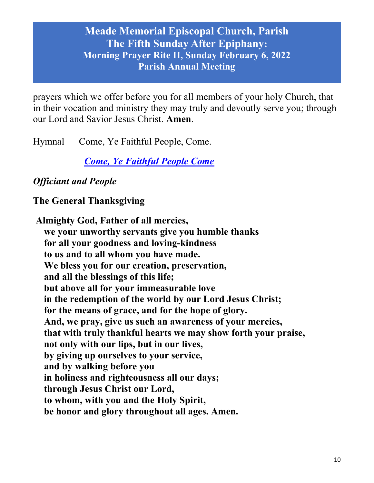prayers which we offer before you for all members of your holy Church, that in their vocation and ministry they may truly and devoutly serve you; through our Lord and Savior Jesus Christ. Amen.

Hymnal Come, Ye Faithful People, Come.

Come, Ye Faithful People Come

# Officiant and People

The General Thanksgiving

Almighty God, Father of all mercies, we your unworthy servants give you humble thanks for all your goodness and loving-kindness to us and to all whom you have made. We bless you for our creation, preservation, and all the blessings of this life; but above all for your immeasurable love in the redemption of the world by our Lord Jesus Christ; for the means of grace, and for the hope of glory. And, we pray, give us such an awareness of your mercies, that with truly thankful hearts we may show forth your praise, not only with our lips, but in our lives, by giving up ourselves to your service, and by walking before you in holiness and righteousness all our days; through Jesus Christ our Lord, to whom, with you and the Holy Spirit, be honor and glory throughout all ages. Amen.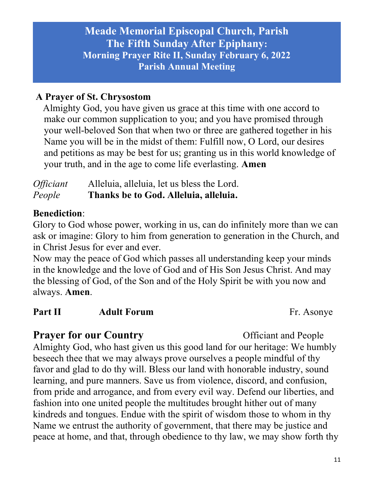## A Prayer of St. Chrysostom

 Almighty God, you have given us grace at this time with one accord to make our common supplication to you; and you have promised through your well-beloved Son that when two or three are gathered together in his Name you will be in the midst of them: Fulfill now, O Lord, our desires and petitions as may be best for us; granting us in this world knowledge of your truth, and in the age to come life everlasting. Amen

# Officiant Alleluia, alleluia, let us bless the Lord. People Thanks be to God. Alleluia, alleluia.

### Benediction:

Glory to God whose power, working in us, can do infinitely more than we can ask or imagine: Glory to him from generation to generation in the Church, and in Christ Jesus for ever and ever.

Now may the peace of God which passes all understanding keep your minds in the knowledge and the love of God and of His Son Jesus Christ. And may the blessing of God, of the Son and of the Holy Spirit be with you now and always. Amen.

### **Part II Adult Forum Fr. Asonye**

**Prayer for our Country** Officiant and People Almighty God, who hast given us this good land for our heritage: We humbly beseech thee that we may always prove ourselves a people mindful of thy favor and glad to do thy will. Bless our land with honorable industry, sound learning, and pure manners. Save us from violence, discord, and confusion, from pride and arrogance, and from every evil way. Defend our liberties, and fashion into one united people the multitudes brought hither out of many kindreds and tongues. Endue with the spirit of wisdom those to whom in thy Name we entrust the authority of government, that there may be justice and peace at home, and that, through obedience to thy law, we may show forth thy